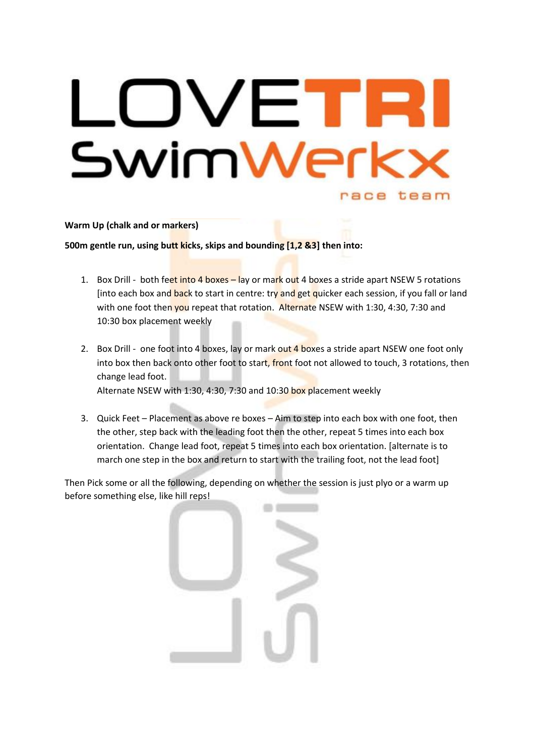# OVETF SwimWerk race team

# **Warm Up (chalk and or markers)**

**500m gentle run, using butt kicks, skips and bounding [1,2 &3] then into:**

- 1. Box Drill both feet into 4 boxes lay or mark out 4 boxes a stride apart NSEW 5 rotations [into each box and back to start in centre: try and get quicker each session, if you fall or land with one foot then you repeat that rotation. Alternate NSEW with 1:30, 4:30, 7:30 and 10:30 box placement weekly
- 2. Box Drill one foot into 4 boxes, lay or mark out 4 boxes a stride apart NSEW one foot only into box then back onto other foot to start, front foot not allowed to touch, 3 rotations, then change lead foot. Alternate NSEW with 1:30, 4:30, 7:30 and 10:30 box placement weekly
- 3. Quick Feet Placement as above re boxes Aim to step into each box with one foot, then the other, step back with the leading foot then the other, repeat 5 times into each box orientation. Change lead foot, repeat 5 times into each box orientation. [alternate is to march one step in the box and return to start with the trailing foot, not the lead foot]

Then Pick some or all the following, depending on whether the session is just plyo or a warm up before something else, like hill reps!

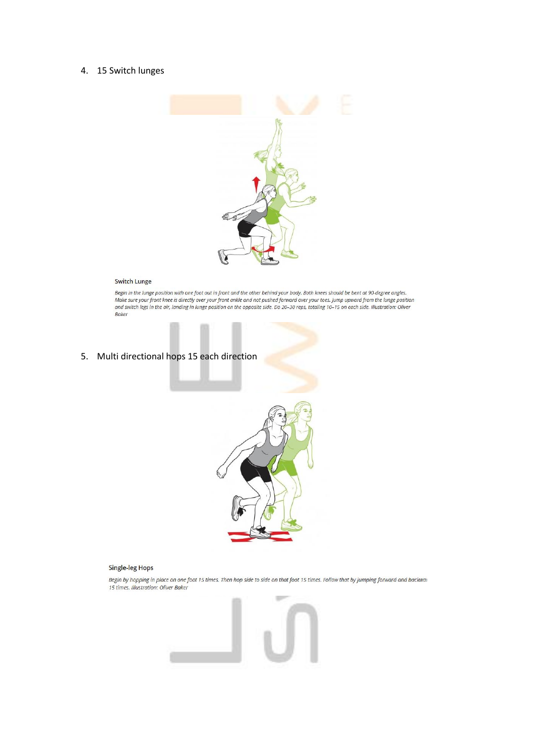# 4. 15 Switch lunges



#### **Switch Lunge**

Begin in the lunge position with one foot out in front and the other behind your body. Both knees should be bent at 90-degree angles.<br>Make sure your front knee is directly over your front ankle and not pushed forward over **Baker** 

## 5. Multi directional hops 15 each direction



## **Single-leg Hops**

Begin by hopping in place on one foot 15 times. Then hop side to side on that foot 15 times. Follow that by jumping forward and backwar 15 times. Illustration: Oliver Baker

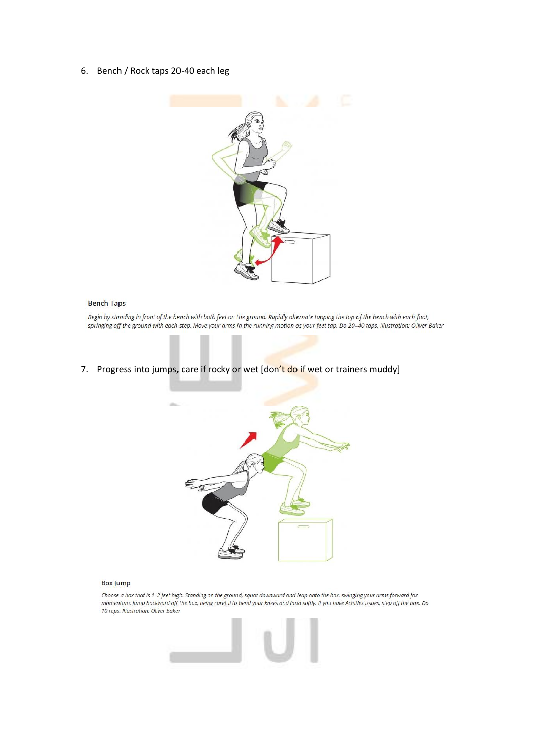6. Bench / Rock taps 20-40 each leg



## **Bench Taps**

Begin by standing in front of the bench with both feet on the ground. Rapidly alternate tapping the top of the bench with each foot, springing off the ground with each step. Move your arms in the running motion as your feet tap. Do 20-40 taps. Illustration: Oliver Baker

# 7. Progress into jumps, care if rocky or wet [don't do if wet or trainers muddy]



#### **Box Jump**

Choose a box that is 1-2 feet high. Standing on the ground, squat downward and leap onto the box, swinging your arms forward for momentum. Jump backward off the box, being careful to bend your knees and land softly. If you have Achilles issues, step off the box. Do<br>10 reps. Illustration: Oliver Baker

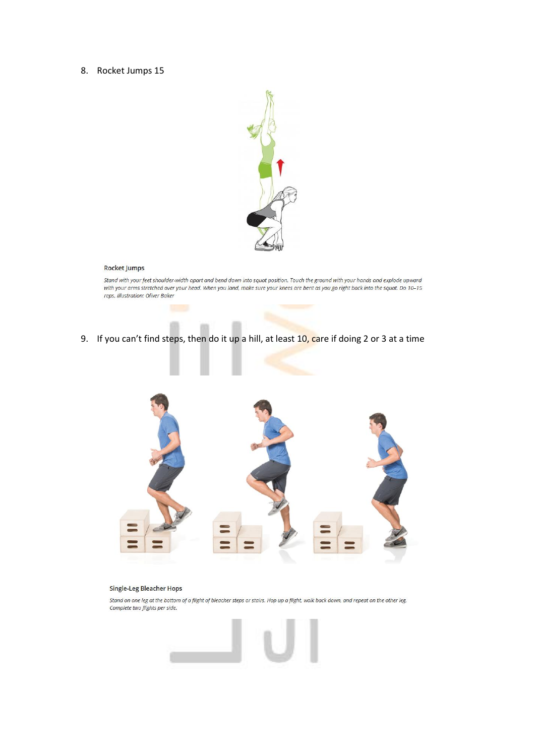## 8. Rocket Jumps 15



## **Rocket Jumps**

Stand with your feet shoulder-width apart and bend down into squat position. Touch the ground with your hands and explode upward<br>with your arms stretched over your head. When you land, make sure your knees are bent as you

9. If you can't find steps, then do it up a hill, at least  $10$ , care if doing 2 or 3 at a time



## Single-Leg Bleacher Hops

Stand on one leg at the bottom of a flight of bleacher steps or stairs. Hop up a flight, walk back down, and repeat on the other leg. Complete two flights per side.

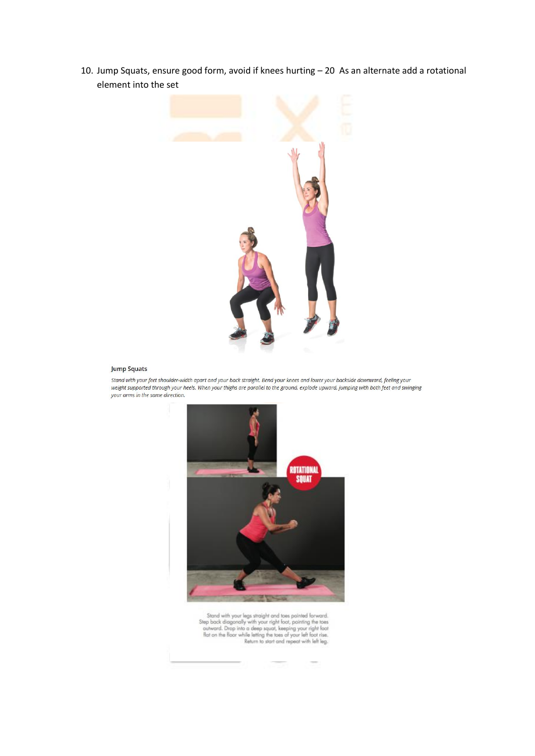10. Jump Squats, ensure good form, avoid if knees hurting – 20 As an alternate add a rotational element into the set



## **Jump Squats**

Stand with your feet shoulder-width apart and your back straight. Bend your knees and lower your backside downward, feeling your weight supported through your heels. When your thighs are parallel to the ground, explode upward, jumping with both feet and swinging your arms in the same direction.



 $\begin{tabular}{c} Standard with your legs straight and does pointed forward. Step back diagonally with your right foot, pointing the toes outward. Drop into a deep squart, keeping your right foot flat on the floor while letting the toes of your left foot is. Return to start and repeat with left log. \end{tabular}$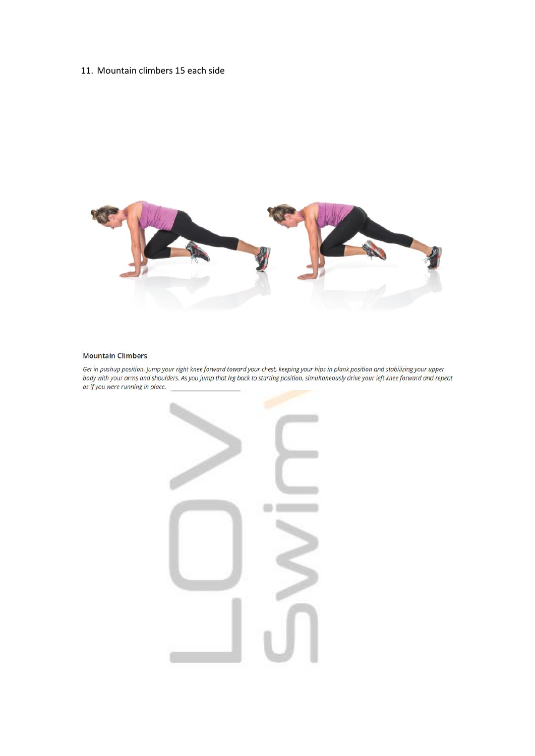## 11. Mountain climbers 15 each side



## **Mountain Climbers**

Get in pushup position. Jump your right knee forward toward your chest, keeping your hips in plank position and stabilizing your upper body with your arms and shoulders. As you jump that leg back to starting position, simultaneously drive your left knee forward and repeat as if you were running in place.